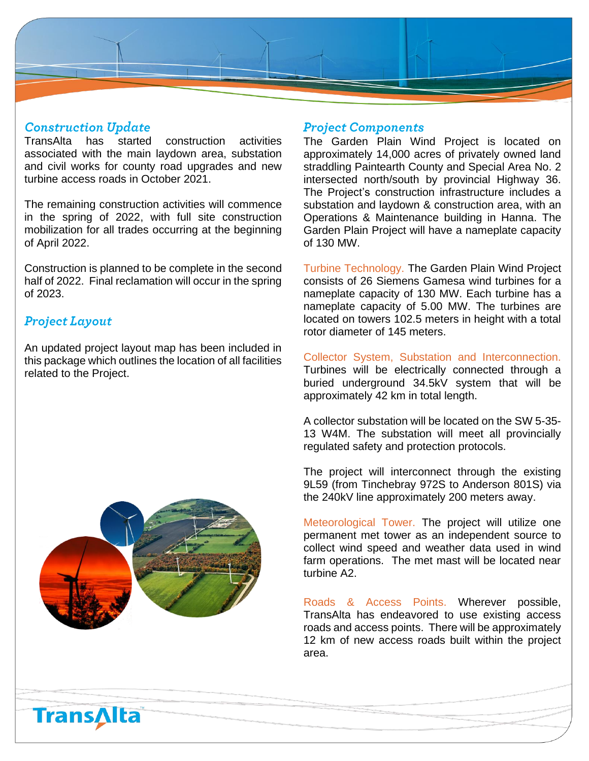

#### **Construction Update**

TransAlta has started construction activities associated with the main laydown area, substation and civil works for county road upgrades and new turbine access roads in October 2021.

The remaining construction activities will commence in the spring of 2022, with full site construction mobilization for all trades occurring at the beginning of April 2022.

Construction is planned to be complete in the second half of 2022. Final reclamation will occur in the spring of 2023.

## **Project Layout**

An updated project layout map has been included in this package which outlines the location of all facilities related to the Project.



#### **Project Components**

The Garden Plain Wind Project is located on approximately 14,000 acres of privately owned land straddling Paintearth County and Special Area No. 2 intersected north/south by provincial Highway 36. The Project's construction infrastructure includes a substation and laydown & construction area, with an Operations & Maintenance building in Hanna. The Garden Plain Project will have a nameplate capacity of 130 MW.

Turbine Technology. The Garden Plain Wind Project consists of 26 Siemens Gamesa wind turbines for a nameplate capacity of 130 MW. Each turbine has a nameplate capacity of 5.00 MW. The turbines are located on towers 102.5 meters in height with a total rotor diameter of 145 meters.

Collector System, Substation and Interconnection. Turbines will be electrically connected through a buried underground 34.5kV system that will be approximately 42 km in total length.

A collector substation will be located on the SW 5-35- 13 W4M. The substation will meet all provincially regulated safety and protection protocols.

The project will interconnect through the existing 9L59 (from Tinchebray 972S to Anderson 801S) via the 240kV line approximately 200 meters away.

Meteorological Tower. The project will utilize one permanent met tower as an independent source to collect wind speed and weather data used in wind farm operations. The met mast will be located near turbine A2.

Roads & Access Points. Wherever possible, TransAlta has endeavored to use existing access roads and access points. There will be approximately 12 km of new access roads built within the project area.

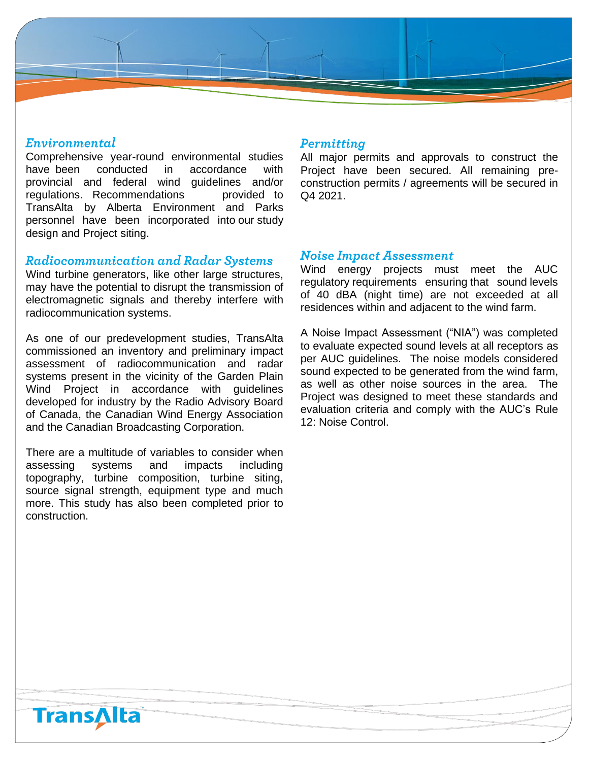# Environmental

Comprehensive year-round environmental studies have been conducted in accordance with provincial and federal wind guidelines and/or regulations. Recommendations provided to TransAlta by Alberta Environment and Parks personnel have been incorporated into our study design and Project siting.

### **Radiocommunication and Radar Systems**

Wind turbine generators, like other large structures, may have the potential to disrupt the transmission of electromagnetic signals and thereby interfere with radiocommunication systems.

As one of our predevelopment studies, TransAlta commissioned an inventory and preliminary impact assessment of radiocommunication and radar systems present in the vicinity of the Garden Plain Wind Project in accordance with guidelines developed for industry by the Radio Advisory Board of Canada, the Canadian Wind Energy Association and the Canadian Broadcasting Corporation.

There are a multitude of variables to consider when assessing systems and impacts including topography, turbine composition, turbine siting, source signal strength, equipment type and much more. This study has also been completed prior to construction.

#### Permitting

All major permits and approvals to construct the Project have been secured. All remaining preconstruction permits / agreements will be secured in Q4 2021.

#### **Noise Impact Assessment**

Wind energy projects must meet the AUC regulatory requirements ensuring that sound levels of 40 dBA (night time) are not exceeded at all residences within and adjacent to the wind farm.

A Noise Impact Assessment ("NIA") was completed to evaluate expected sound levels at all receptors as per AUC guidelines. The noise models considered sound expected to be generated from the wind farm, as well as other noise sources in the area. The Project was designed to meet these standards and evaluation criteria and comply with the AUC's Rule 12: Noise Control.